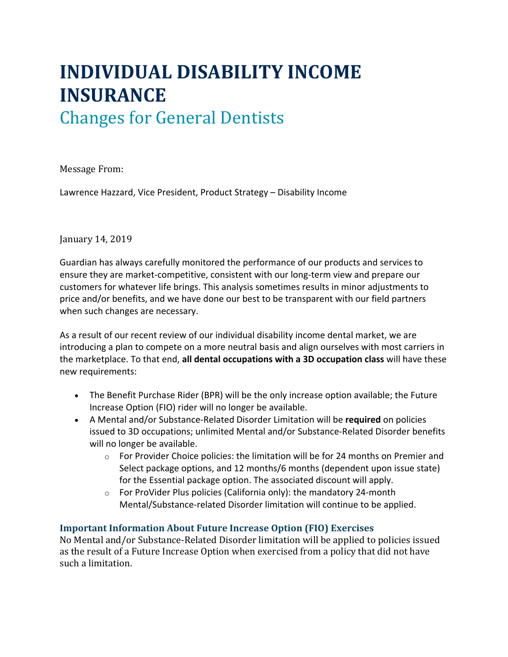# **INDIVIDUAL DISABILITY INCOME INSURANCE**

# Changes for General Dentists

Message From:

Lawrence Hazzard, Vice President, Product Strategy – Disability Income

## January 14, 2019

Guardian has always carefully monitored the performance of our products and services to ensure they are market-competitive, consistent with our long-term view and prepare our customers for whatever life brings. This analysis sometimes results in minor adjustments to price and/or benefits, and we have done our best to be transparent with our field partners when such changes are necessary.

As a result of our recent review of our individual disability income dental market, we are introducing a plan to compete on a more neutral basis and align ourselves with most carriers in the marketplace. To that end, **all dental occupations with a 3D occupation class** will have these new requirements:

- The Benefit Purchase Rider (BPR) will be the only increase option available; the Future Increase Option (FIO) rider will no longer be available.
- A Mental and/or Substance-Related Disorder Limitation will be **required** on policies issued to 3D occupations; unlimited Mental and/or Substance-Related Disorder benefits will no longer be available.
	- o For Provider Choice policies: the limitation will be for 24 months on Premier and Select package options, and 12 months/6 months (dependent upon issue state) for the Essential package option. The associated discount will apply.
	- $\circ$  For ProVider Plus policies (California only): the mandatory 24-month Mental/Substance-related Disorder limitation will continue to be applied.

# **Important Information About Future Increase Option (FIO) Exercises**

No Mental and/or Substance-Related Disorder limitation will be applied to policies issued as the result of a Future Increase Option when exercised from a policy that did not have such a limitation.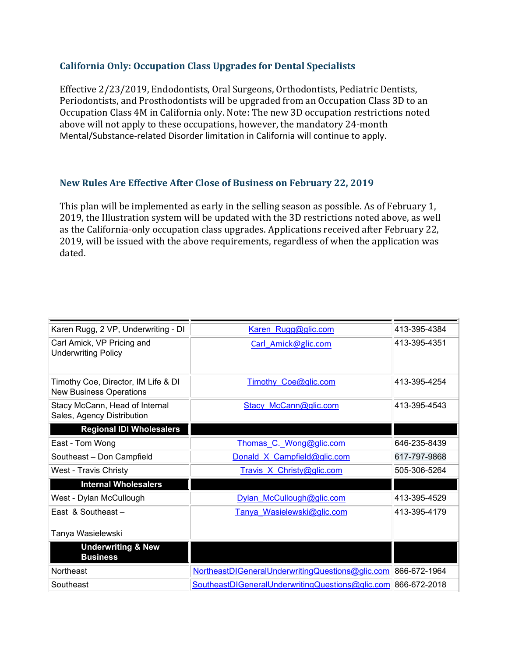#### **California Only: Occupation Class Upgrades for Dental Specialists**

Effective 2/23/2019, Endodontists, Oral Surgeons, Orthodontists, Pediatric Dentists, Periodontists, and Prosthodontists will be upgraded from an Occupation Class 3D to an Occupation Class 4M in California only. Note: The new 3D occupation restrictions noted above will not apply to these occupations, however, the mandatory 24-month Mental/Substance-related Disorder limitation in California will continue to apply.

## **New Rules Are Effective After Close of Business on February 22, 2019**

This plan will be implemented as early in the selling season as possible. As of February 1, 2019, the Illustration system will be updated with the 3D restrictions noted above, as well as the California-only occupation class upgrades. Applications received after February 22, 2019, will be issued with the above requirements, regardless of when the application was dated.

| Karen Rugg, 2 VP, Underwriting - DI                                   | Karen Rugg@glic.com                                           | 413-395-4384 |
|-----------------------------------------------------------------------|---------------------------------------------------------------|--------------|
| Carl Amick, VP Pricing and<br><b>Underwriting Policy</b>              | Carl Amick@glic.com                                           | 413-395-4351 |
| Timothy Coe, Director, IM Life & DI<br><b>New Business Operations</b> | Timothy Coe@glic.com                                          | 413-395-4254 |
| Stacy McCann, Head of Internal<br>Sales, Agency Distribution          | Stacy McCann@glic.com                                         | 413-395-4543 |
| <b>Regional IDI Wholesalers</b>                                       |                                                               |              |
| East - Tom Wong                                                       | Thomas C. Wong@glic.com                                       | 646-235-8439 |
| Southeast - Don Campfield                                             | Donald X Campfield@glic.com                                   | 617-797-9868 |
| West - Travis Christy                                                 | Travis X Christy@glic.com                                     | 505-306-5264 |
| <b>Internal Wholesalers</b>                                           |                                                               |              |
| West - Dylan McCullough                                               | Dylan McCullough@glic.com                                     | 413-395-4529 |
| East & Southeast $-$                                                  | Tanya Wasielewski@glic.com                                    | 413-395-4179 |
| Tanya Wasielewski                                                     |                                                               |              |
| <b>Underwriting &amp; New</b><br><b>Business</b>                      |                                                               |              |
| <b>Northeast</b>                                                      | NortheastDIGeneralUnderwritingQuestions@glic.com 866-672-1964 |              |
| Southeast                                                             | SoutheastDIGeneralUnderwritingQuestions@glic.com 866-672-2018 |              |